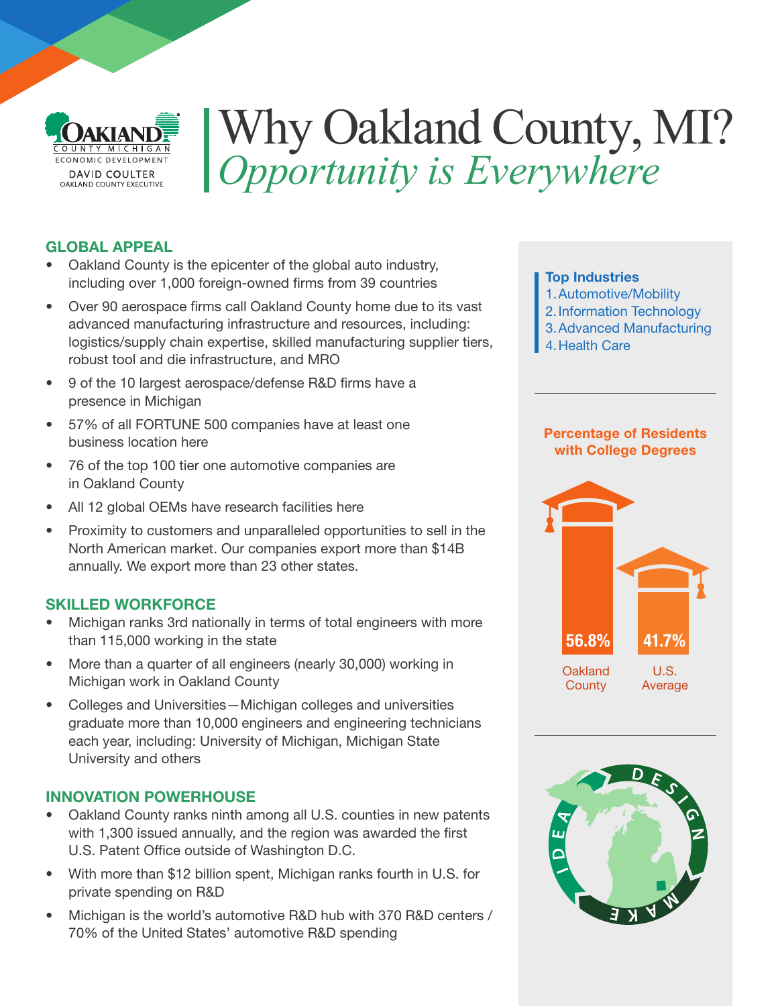

# Why Oakland County, MI? *Opportunity is Everywhere*

#### GLOBAL APPEAL

- Oakland County is the epicenter of the global auto industry, including over 1,000 foreign-owned firms from 39 countries
- Over 90 aerospace firms call Oakland County home due to its vast advanced manufacturing infrastructure and resources, including: logistics/supply chain expertise, skilled manufacturing supplier tiers, robust tool and die infrastructure, and MRO
- 9 of the 10 largest aerospace/defense R&D firms have a presence in Michigan
- 57% of all FORTUNE 500 companies have at least one business location here
- 76 of the top 100 tier one automotive companies are in Oakland County
- All 12 global OEMs have research facilities here
- Proximity to customers and unparalleled opportunities to sell in the North American market. Our companies export more than \$14B annually. We export more than 23 other states.

#### SKILLED WORKFORCE

- Michigan ranks 3rd nationally in terms of total engineers with more than 115,000 working in the state
- More than a quarter of all engineers (nearly 30,000) working in Michigan work in Oakland County
- Colleges and Universities—Michigan colleges and universities graduate more than 10,000 engineers and engineering technicians each year, including: University of Michigan, Michigan State University and others

#### INNOVATION POWERHOUSE

- Oakland County ranks ninth among all U.S. counties in new patents with 1,300 issued annually, and the region was awarded the first U.S. Patent Office outside of Washington D.C.
- With more than \$12 billion spent, Michigan ranks fourth in U.S. for private spending on R&D
- Michigan is the world's automotive R&D hub with 370 R&D centers / 70% of the United States' automotive R&D spending

#### Top Industries

- 1.Automotive/Mobility
- 2.Information Technology
- 3.Advanced Manufacturing
- 4.Health Care

#### Percentage of Residents with College Degrees